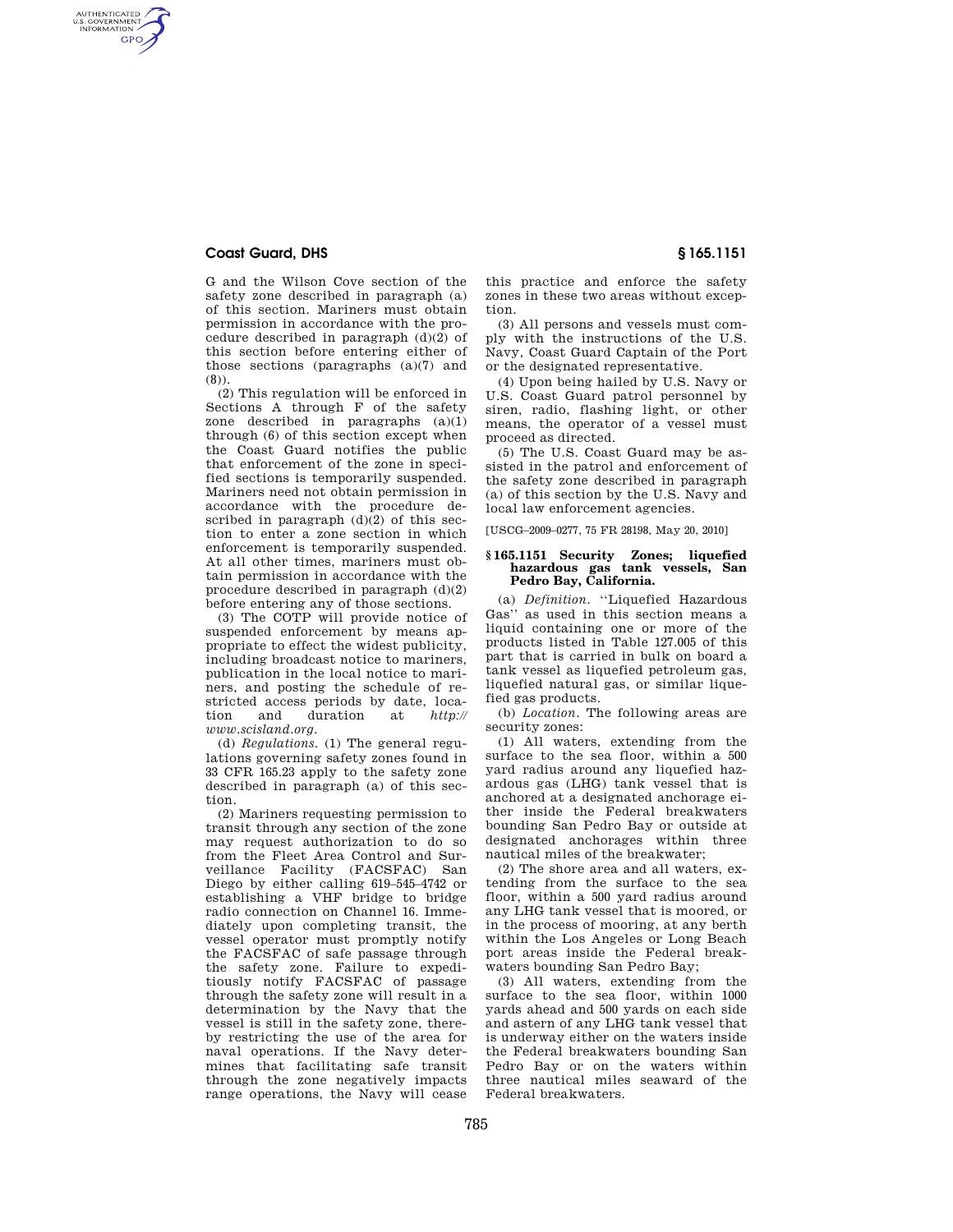# **Coast Guard, DHS § 165.1151**

AUTHENTICATED<br>U.S. GOVERNMENT<br>INFORMATION **GPO** 

> G and the Wilson Cove section of the safety zone described in paragraph (a) of this section. Mariners must obtain permission in accordance with the procedure described in paragraph  $(d)(2)$  of this section before entering either of those sections (paragraphs (a)(7) and (8)).

> (2) This regulation will be enforced in Sections A through F of the safety zone described in paragraphs (a)(1) through (6) of this section except when the Coast Guard notifies the public that enforcement of the zone in specified sections is temporarily suspended. Mariners need not obtain permission in accordance with the procedure described in paragraph  $(d)(2)$  of this section to enter a zone section in which enforcement is temporarily suspended. At all other times, mariners must obtain permission in accordance with the procedure described in paragraph (d)(2) before entering any of those sections.

> (3) The COTP will provide notice of suspended enforcement by means appropriate to effect the widest publicity, including broadcast notice to mariners, publication in the local notice to mariners, and posting the schedule of restricted access periods by date, loca-<br>tion and duration at *http*:// duration *www.scisland.org.*

> (d) *Regulations.* (1) The general regulations governing safety zones found in 33 CFR 165.23 apply to the safety zone described in paragraph (a) of this section.

(2) Mariners requesting permission to transit through any section of the zone may request authorization to do so from the Fleet Area Control and Surveillance Facility (FACSFAC) San Diego by either calling 619–545–4742 or establishing a VHF bridge to bridge radio connection on Channel 16. Immediately upon completing transit, the vessel operator must promptly notify the FACSFAC of safe passage through the safety zone. Failure to expeditiously notify FACSFAC of passage through the safety zone will result in a determination by the Navy that the vessel is still in the safety zone, thereby restricting the use of the area for naval operations. If the Navy determines that facilitating safe transit through the zone negatively impacts range operations, the Navy will cease this practice and enforce the safety zones in these two areas without exception.

(3) All persons and vessels must comply with the instructions of the U.S. Navy, Coast Guard Captain of the Port or the designated representative.

(4) Upon being hailed by U.S. Navy or U.S. Coast Guard patrol personnel by siren, radio, flashing light, or other means, the operator of a vessel must proceed as directed.

(5) The U.S. Coast Guard may be assisted in the patrol and enforcement of the safety zone described in paragraph (a) of this section by the U.S. Navy and local law enforcement agencies.

[USCG–2009–0277, 75 FR 28198, May 20, 2010]

## **§ 165.1151 Security Zones; liquefied hazardous gas tank vessels, San Pedro Bay, California.**

(a) *Definition.* ''Liquefied Hazardous Gas'' as used in this section means a liquid containing one or more of the products listed in Table 127.005 of this part that is carried in bulk on board a tank vessel as liquefied petroleum gas, liquefied natural gas, or similar liquefied gas products.

(b) *Location.* The following areas are security zones:

(1) All waters, extending from the surface to the sea floor, within a 500 yard radius around any liquefied hazardous gas (LHG) tank vessel that is anchored at a designated anchorage either inside the Federal breakwaters bounding San Pedro Bay or outside at designated anchorages within three nautical miles of the breakwater;

(2) The shore area and all waters, extending from the surface to the sea floor, within a 500 yard radius around any LHG tank vessel that is moored, or in the process of mooring, at any berth within the Los Angeles or Long Beach port areas inside the Federal breakwaters bounding San Pedro Bay;

(3) All waters, extending from the surface to the sea floor, within 1000 yards ahead and 500 yards on each side and astern of any LHG tank vessel that is underway either on the waters inside the Federal breakwaters bounding San Pedro Bay or on the waters within three nautical miles seaward of the Federal breakwaters.